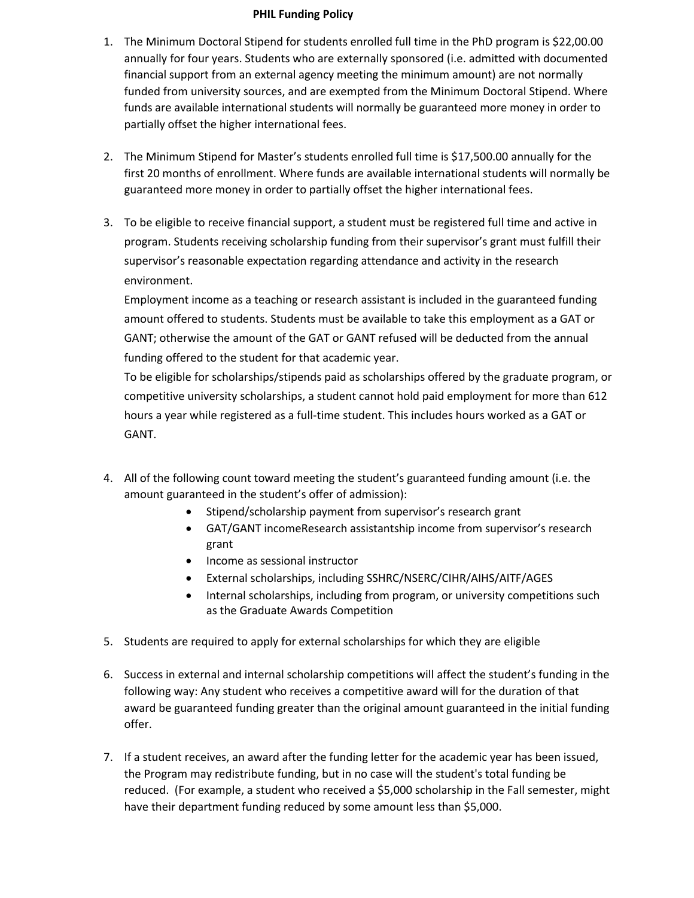## **PHIL Funding Policy**

- 1. The Minimum Doctoral Stipend for students enrolled full time in the PhD program is \$22,00.00 annually for four years. Students who are externally sponsored (i.e. admitted with documented financial support from an external agency meeting the minimum amount) are not normally funded from university sources, and are exempted from the Minimum Doctoral Stipend. Where funds are available international students will normally be guaranteed more money in order to partially offset the higher international fees.
- 2. The Minimum Stipend for Master's students enrolled full time is \$17,500.00 annually for the first 20 months of enrollment. Where funds are available international students will normally be guaranteed more money in order to partially offset the higher international fees.
- 3. To be eligible to receive financial support, a student must be registered full time and active in program. Students receiving scholarship funding from their supervisor's grant must fulfill their supervisor's reasonable expectation regarding attendance and activity in the research environment.

Employment income as a teaching or research assistant is included in the guaranteed funding amount offered to students. Students must be available to take this employment as a GAT or GANT; otherwise the amount of the GAT or GANT refused will be deducted from the annual funding offered to the student for that academic year.

To be eligible for scholarships/stipends paid as scholarships offered by the graduate program, or competitive university scholarships, a student cannot hold paid employment for more than 612 hours a year while registered as a full-time student. This includes hours worked as a GAT or GANT.

- 4. All of the following count toward meeting the student's guaranteed funding amount (i.e. the amount guaranteed in the student's offer of admission):
	- Stipend/scholarship payment from supervisor's research grant
	- GAT/GANT incomeResearch assistantship income from supervisor's research grant
	- Income as sessional instructor
	- External scholarships, including SSHRC/NSERC/CIHR/AIHS/AITF/AGES
	- Internal scholarships, including from program, or university competitions such as the Graduate Awards Competition
- 5. Students are required to apply for external scholarships for which they are eligible
- 6. Success in external and internal scholarship competitions will affect the student's funding in the following way: Any student who receives a competitive award will for the duration of that award be guaranteed funding greater than the original amount guaranteed in the initial funding offer.
- 7. If a student receives, an award after the funding letter for the academic year has been issued, the Program may redistribute funding, but in no case will the student's total funding be reduced. (For example, a student who received a \$5,000 scholarship in the Fall semester, might have their department funding reduced by some amount less than \$5,000.